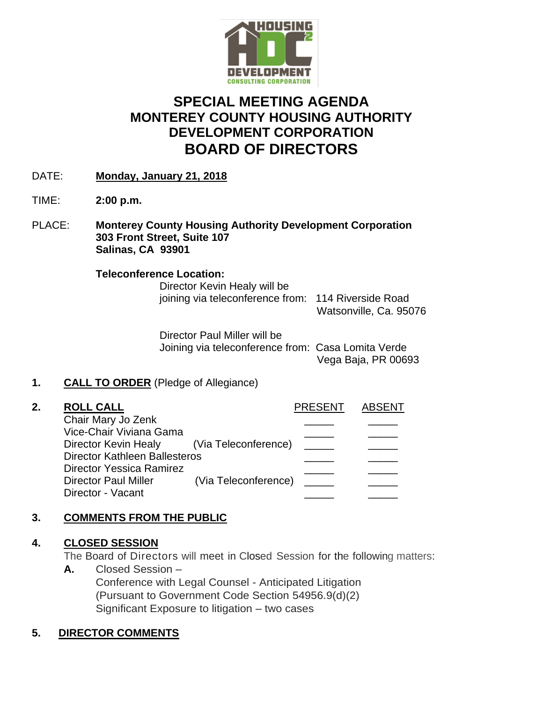

# **SPECIAL MEETING AGENDA MONTEREY COUNTY HOUSING AUTHORITY DEVELOPMENT CORPORATION BOARD OF DIRECTORS**

- DATE: **Monday, January 21, 2018**
- TIME: **2:00 p.m.**
- PLACE: **Monterey County Housing Authority Development Corporation 303 Front Street, Suite 107 Salinas, CA 93901**

#### **Teleconference Location:**

Director Kevin Healy will be joining via teleconference from: 114 Riverside Road

Watsonville, Ca. 95076

Director Paul Miller will be Joining via teleconference from: Casa Lomita Verde Vega Baja, PR 00693

# **1. CALL TO ORDER** (Pledge of Allegiance)

| 2. | <b>ROLL CALL</b>                          |                      | <b>PRESENT</b> | <b>ABSENT</b> |
|----|-------------------------------------------|----------------------|----------------|---------------|
|    | Chair Mary Jo Zenk                        |                      |                |               |
|    | Vice-Chair Viviana Gama                   |                      |                |               |
|    | Director Kevin Healy (Via Teleconference) |                      |                |               |
|    | <b>Director Kathleen Ballesteros</b>      |                      |                |               |
|    | <b>Director Yessica Ramirez</b>           |                      |                |               |
|    | <b>Director Paul Miller</b>               | (Via Teleconference) |                |               |
|    | Director - Vacant                         |                      |                |               |

# **3. COMMENTS FROM THE PUBLIC**

#### **4. CLOSED SESSION**

The Board of Directors will meet in Closed Session for the following matters:

**A.** Closed Session – Conference with Legal Counsel - Anticipated Litigation (Pursuant to Government Code Section 54956.9(d)(2) Significant Exposure to litigation – two cases

# **5. DIRECTOR COMMENTS**